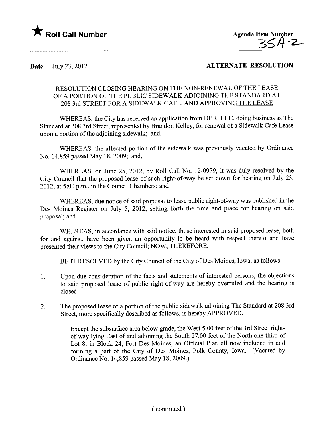



## Date July 23, 2012 2000 2000 ALTERNATE RESOLUTION

## RESOLUTION CLOSING HEARING ON THE NON-RENEWAL OF THE LEASE OF A PORTION OF THE PUBLIC SIDEWALK ADJOINING THE STANDARD AT 208 3rd STREET FOR A SIDEWALK CAFE, AND APPROVING THE LEASE

WHEREAS, the City has received an application from DBR, LLC, doing business as The Standard at 208 3rd Street, represented by Brandon Kelley, for renewal of a Sidewalk Cafe Lease upon a portion of the adjoining sidewalk; and,

WHEREAS, the affected portion of the sidewalk was previously vacated by Ordinance No. 14,859 passed May 18,2009; and,

WHEREAS, on June 25, 2012, by Roll Call No. 12-0979, it was duly resolved by the City Council that the proposed lease of such right-of-way be set down for hearing on July 23, 2012, at 5:00 p.m., in the Council Chambers; and

WHEREAS, due notice of said proposal to lease public right-of-way was published in the Des Moines Register on July 5, 2012, setting forth the time and place for hearing on said proposal; and

WHEREAS, in accordance with said notice, those interested in said proposed lease, both for and against, have been given an opportnity to be heard with respect thereto and have presented their views to the City Council; NOW, THEREFORE,

BE IT RESOLVED by the City Council of the City of Des Moines, Iowa, as follows:

- 1. Upon due consideration of the facts and statements of interested persons, the objections to said proposed lease of public right-of-way are hereby overruled and the hearing is closed.
- 2. The proposed lease of a portion of the public sidewalk adjoining The Standard at 208 3rd Street, more specifically described as follows, is hereby APPROVED.

Except the subsurface area below grade, the West 5.00 feet of the 3rd Street rightof-way lying East of and adjoining the South 27.00 feet of the North one-third of Lot 8, in Block 24, Fort Des Moines, an Official Plat, all now included in and forming a part of the City of Des Moines, Polk County, Iowa. (Vacated by Ordinance No. 14,859 passed May 18, 2009.)